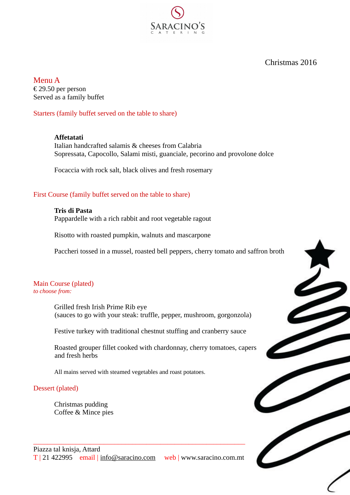Christmas 2016

Menu A € 29.50 per person Served as a family buffet

Starters (family buffet served on the table to share)

### **Affetatati**

Italian handcrafted salamis & cheeses from Calabria Sopressata, Capocollo, Salami misti, guanciale, pecorino and provolone dolce

Focaccia with rock salt, black olives and fresh rosemary

### First Course (family buffet served on the table to share)

**Tris di Pasta** Pappardelle with a rich rabbit and root vegetable ragout

Risotto with roasted pumpkin, walnuts and mascarpone

Paccheri tossed in a mussel, roasted bell peppers, cherry tomato and saffron broth

### Main Course (plated) *to choose from:*

Grilled fresh Irish Prime Rib eye (sauces to go with your steak: truffle, pepper, mushroom, gorgonzola)

Festive turkey with traditional chestnut stuffing and cranberry sauce

Roasted grouper fillet cooked with chardonnay, cherry tomatoes, capers and fresh herbs

All mains served with steamed vegetables and roast potatoes.

 $\_$  , and the set of the set of the set of the set of the set of the set of the set of the set of the set of the set of the set of the set of the set of the set of the set of the set of the set of the set of the set of th

## Dessert (plated)

Christmas pudding Coffee & Mince pies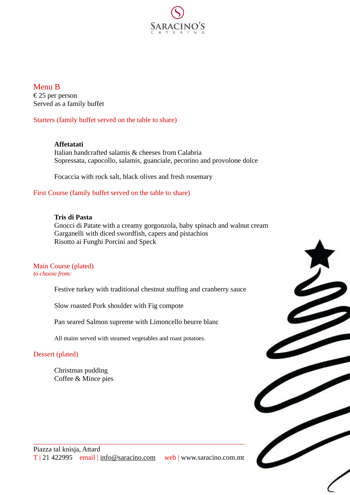

Menu B € 25 per person Served as a family buffet

Starters (family buffet served on the table to share)

## **Affetatati**

Italian handcrafted salamis & cheeses from Calabria Sopressata, capocollo, salamis, guanciale, pecorino and provolone dolce

Focaccia with rock salt, black olives and fresh rosemary

## First Course (family buffet served on the table to share)

## **Tris di Pasta**

Gnocci di Patate with a creamy gorgonzola, baby spinach and walnut cream Garganelli with diced swordfish, capers and pistachios Risotto ai Funghi Porcini and Speck

# Main Course (plated)

*to choose from:*

Festive turkey with traditional chestnut stuffing and cranberry sauce

Slow roasted Pork shoulder with Fig compote

Pan seared Salmon supreme with Limoncello beurre blanc

 $\_$  , and the set of the set of the set of the set of the set of the set of the set of the set of the set of the set of the set of the set of the set of the set of the set of the set of the set of the set of the set of th

All mains served with steamed vegetables and roast potatoes.

## Dessert (plated)

Christmas pudding Coffee & Mince pies